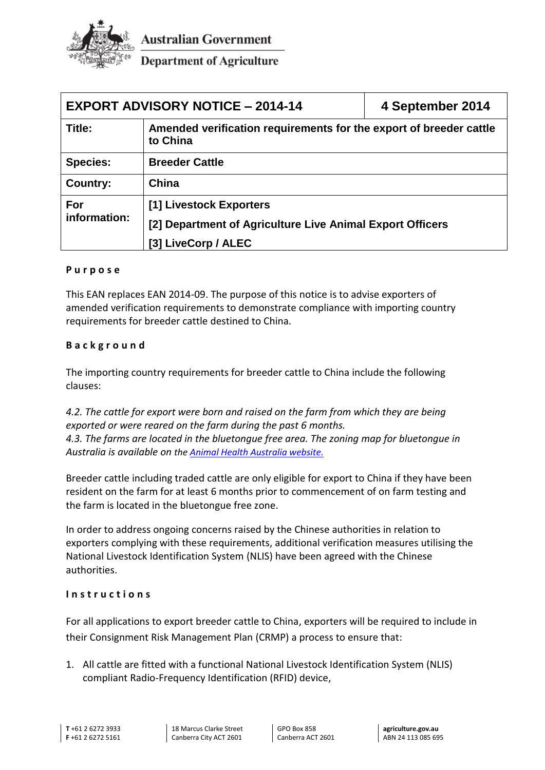

**Australian Government** 

**Department of Agriculture** 

| <b>EXPORT ADVISORY NOTICE - 2014-14</b> |                                                                                | 4 September 2014 |
|-----------------------------------------|--------------------------------------------------------------------------------|------------------|
| Title:                                  | Amended verification requirements for the export of breeder cattle<br>to China |                  |
| <b>Species:</b>                         | <b>Breeder Cattle</b>                                                          |                  |
| Country:                                | China                                                                          |                  |
| For<br>information:                     | [1] Livestock Exporters                                                        |                  |
|                                         | [2] Department of Agriculture Live Animal Export Officers                      |                  |
|                                         | [3] LiveCorp / ALEC                                                            |                  |

## **P u r p o s e**

This EAN replaces EAN 2014-09. The purpose of this notice is to advise exporters of amended verification requirements to demonstrate compliance with importing country requirements for breeder cattle destined to China.

## **B a c k g r o u n d**

The importing country requirements for breeder cattle to China include the following clauses:

*4.2. The cattle for export were born and raised on the farm from which they are being exported or were reared on the farm during the past 6 months. 4.3. The farms are located in the bluetongue free area. The zoning map for bluetongue in Australia is available on the [Animal Health Australia website.](http://namp.animalhealthaustralia.com.au/public.php?page=namp_public&program=2)*

Breeder cattle including traded cattle are only eligible for export to China if they have been resident on the farm for at least 6 months prior to commencement of on farm testing and the farm is located in the bluetongue free zone.

In order to address ongoing concerns raised by the Chinese authorities in relation to exporters complying with these requirements, additional verification measures utilising the National Livestock Identification System (NLIS) have been agreed with the Chinese authorities.

## **I n s t r u c t i o n s**

For all applications to export breeder cattle to China, exporters will be required to include in their Consignment Risk Management Plan (CRMP) a process to ensure that:

1. All cattle are fitted with a functional National Livestock Identification System (NLIS) compliant Radio-Frequency Identification (RFID) device,